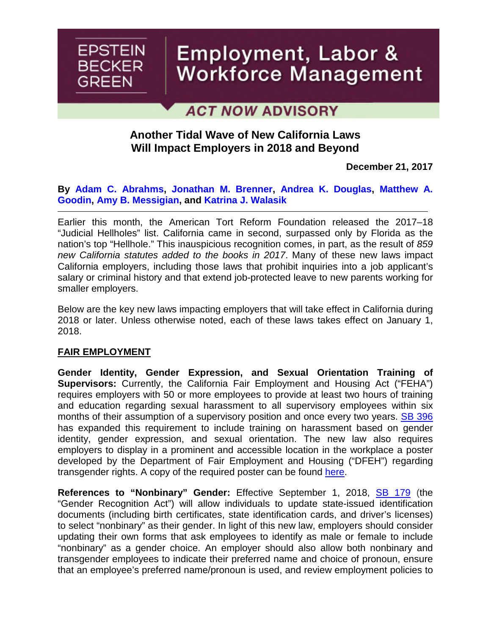

# Employment, Labor & Workforce Management

# **ACT NOW ADVISORY**

## **Another Tidal Wave of New California Laws Will Impact Employers in 2018 and Beyond**

**December 21, 2017**

**By [Adam C. Abrahms](https://www.ebglaw.com/adam-c-abrahms/), [Jonathan M. Brenner](https://www.ebglaw.com/jonathan-m-brenner/), [Andrea K. Douglas,](https://www.ebglaw.com/andrea-k-douglas/) [Matthew A.](https://www.ebglaw.com/matthew-a-goodin/) Goodin, [Amy B. Messigian,](https://www.ebglaw.com/matthew-a-goodin/) and [Katrina J. Walasik](https://www.ebglaw.com/katrina-j-walasik/)**

Earlier this month, the American Tort Reform Foundation released the 2017–18 "Judicial Hellholes" list. California came in second, surpassed only by Florida as the nation's top "Hellhole." This inauspicious recognition comes, in part, as the result of *859 new California statutes added to the books in 2017*. Many of these new laws impact California employers, including those laws that prohibit inquiries into a job applicant's salary or criminal history and that extend job-protected leave to new parents working for smaller employers.

Below are the key new laws impacting employers that will take effect in California during 2018 or later. Unless otherwise noted, each of these laws takes effect on January 1, 2018.

#### **FAIR EMPLOYMENT**

**Gender Identity, Gender Expression, and Sexual Orientation Training of Supervisors:** Currently, the California Fair Employment and Housing Act ("FEHA") requires employers with 50 or more employees to provide at least two hours of training and education regarding sexual harassment to all supervisory employees within six months of their assumption of a supervisory position and once every two years. [SB 396](https://leginfo.legislature.ca.gov/faces/billNavClient.xhtml?bill_id=201720180SB396) has expanded this requirement to include training on harassment based on gender identity, gender expression, and sexual orientation. The new law also requires employers to display in a prominent and accessible location in the workplace a poster developed by the Department of Fair Employment and Housing ("DFEH") regarding transgender rights. A copy of the required poster can be found [here.](https://www.dfeh.ca.gov/resources/posters-and-brochures-and-fact-sheets/poster-and-brochure-tab-list/)

**References to "Nonbinary" Gender:** Effective September 1, 2018, [SB 179](https://leginfo.legislature.ca.gov/faces/billTextClient.xhtml?bill_id=201720180SB179) (the "Gender Recognition Act") will allow individuals to update state-issued identification documents (including birth certificates, state identification cards, and driver's licenses) to select "nonbinary" as their gender. In light of this new law, employers should consider updating their own forms that ask employees to identify as male or female to include "nonbinary" as a gender choice. An employer should also allow both nonbinary and transgender employees to indicate their preferred name and choice of pronoun, ensure that an employee's preferred name/pronoun is used, and review employment policies to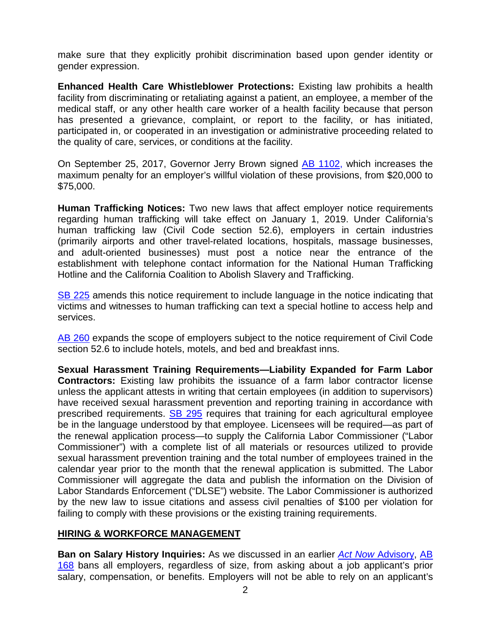make sure that they explicitly prohibit discrimination based upon gender identity or gender expression.

**Enhanced Health Care Whistleblower Protections:** Existing law prohibits a health facility from discriminating or retaliating against a patient, an employee, a member of the medical staff, or any other health care worker of a health facility because that person has presented a grievance, complaint, or report to the facility, or has initiated, participated in, or cooperated in an investigation or administrative proceeding related to the quality of care, services, or conditions at the facility.

On September 25, 2017, Governor Jerry Brown signed [AB 1102](https://leginfo.legislature.ca.gov/faces/billNavClient.xhtml?bill_id=201720180AB1102), which increases the maximum penalty for an employer's willful violation of these provisions, from \$20,000 to \$75,000.

**Human Trafficking Notices:** Two new laws that affect employer notice requirements regarding human trafficking will take effect on January 1, 2019. Under California's human trafficking law (Civil Code section 52.6), employers in certain industries (primarily airports and other travel-related locations, hospitals, massage businesses, and adult-oriented businesses) must post a notice near the entrance of the establishment with telephone contact information for the National Human Trafficking Hotline and the California Coalition to Abolish Slavery and Trafficking.

[SB 225](https://leginfo.legislature.ca.gov/faces/billTextClient.xhtml?bill_id=201720180SB225) amends this notice requirement to include language in the notice indicating that victims and witnesses to human trafficking can text a special hotline to access help and services.

[AB 260](https://leginfo.legislature.ca.gov/faces/billTextClient.xhtml?bill_id=201720180AB260) expands the scope of employers subject to the notice requirement of Civil Code section 52.6 to include hotels, motels, and bed and breakfast inns.

**Sexual Harassment Training Requirements—Liability Expanded for Farm Labor Contractors:** Existing law prohibits the issuance of a farm labor contractor license unless the applicant attests in writing that certain employees (in addition to supervisors) have received sexual harassment prevention and reporting training in accordance with prescribed requirements. **[SB 295](https://leginfo.legislature.ca.gov/faces/billNavClient.xhtml?bill_id=201720180SB295)** requires that training for each agricultural employee be in the language understood by that employee. Licensees will be required—as part of the renewal application process—to supply the California Labor Commissioner ("Labor Commissioner") with a complete list of all materials or resources utilized to provide sexual harassment prevention training and the total number of employees trained in the calendar year prior to the month that the renewal application is submitted. The Labor Commissioner will aggregate the data and publish the information on the Division of Labor Standards Enforcement ("DLSE") website. The Labor Commissioner is authorized by the new law to issue citations and assess civil penalties of \$100 per violation for failing to comply with these provisions or the existing training requirements.

#### **HIRING & WORKFORCE MANAGEMENT**

**Ban on Salary History Inquiries:** As we discussed in an earlier *Act Now* [Advisory,](https://www.ebglaw.com/news/californias-ban-on-salary-history-inquiries-new-law-brings-changes-to-the-job-application-and-hiring-process/) [AB](https://leginfo.legislature.ca.gov/faces/billNavClient.xhtml?bill_id=201720180AB168) 168 [bans all employers, regardless of size, from asking about a job applicant's prior](https://leginfo.legislature.ca.gov/faces/billNavClient.xhtml?bill_id=201720180AB168) salary, compensation, or benefits. Employers will not be able to rely on an applicant's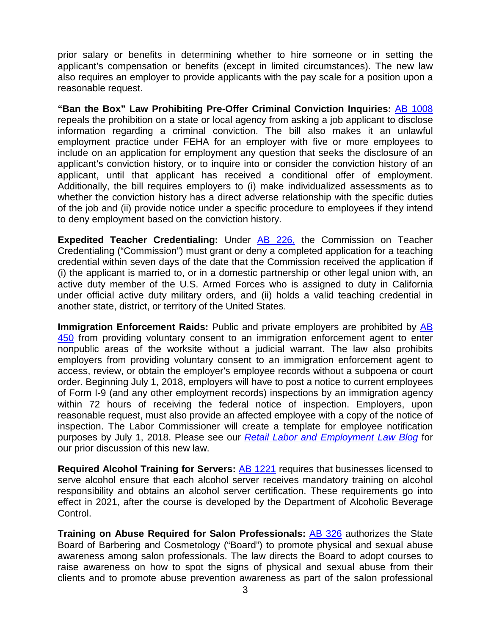prior salary or benefits in determining whether to hire someone or in setting the applicant's compensation or benefits (except in limited circumstances). The new law also requires an employer to provide applicants with the pay scale for a position upon a reasonable request.

**"Ban the Box" Law Prohibiting Pre-Offer Criminal Conviction Inquiries:** [AB 1008](https://leginfo.legislature.ca.gov/faces/billNavClient.xhtml?bill_id=201720180AB1008) repeals the prohibition on a state or local agency from asking a job applicant to disclose information regarding a criminal conviction. The bill also makes it an unlawful employment practice under FEHA for an employer with five or more employees to include on an application for employment any question that seeks the disclosure of an applicant's conviction history, or to inquire into or consider the conviction history of an applicant, until that applicant has received a conditional offer of employment. Additionally, the bill requires employers to (i) make individualized assessments as to whether the conviction history has a direct adverse relationship with the specific duties of the job and (ii) provide notice under a specific procedure to employees if they intend to deny employment based on the conviction history.

**Expedited Teacher Credentialing:** Under **AB 226**, the Commission on Teacher Credentialing ("Commission") must grant or deny a completed application for a teaching credential within seven days of the date that the Commission received the application if (i) the applicant is married to, or in a domestic partnership or other legal union with, an active duty member of the U.S. Armed Forces who is assigned to duty in California under official active duty military orders, and (ii) holds a valid teaching credential in another state, district, or territory of the United States.

**Immigration Enforcement Raids:** Public and private employers are prohibited by [AB](https://leginfo.legislature.ca.gov/faces/billNavClient.xhtml?bill_id=201720180AB450) 450 [from providing voluntary consent to an immigration enforcement agent to enter](https://leginfo.legislature.ca.gov/faces/billNavClient.xhtml?bill_id=201720180AB450) nonpublic areas of the worksite without a judicial warrant. The law also prohibits employers from providing voluntary consent to an immigration enforcement agent to access, review, or obtain the employer's employee records without a subpoena or court order. Beginning July 1, 2018, employers will have to post a notice to current employees of Form I-9 (and any other employment records) inspections by an immigration agency within 72 hours of receiving the federal notice of inspection. Employers, upon reasonable request, must also provide an affected employee with a copy of the notice of inspection. The Labor Commissioner will create a template for employee notification purposes by July 1, 2018. Please see our *[Retail Labor and Employment Law Blog](https://www.retaillaborandemploymentlaw.com/immigration/california-imposes-immigration-regulations-on-employers/)* for our prior discussion of this new law.

**Required Alcohol Training for Servers:** [AB 1221](https://leginfo.legislature.ca.gov/faces/billNavClient.xhtml?bill_id=201720180AB1221) requires that businesses licensed to serve alcohol ensure that each alcohol server receives mandatory training on alcohol responsibility and obtains an alcohol server certification. These requirements go into effect in 2021, after the course is developed by the Department of Alcoholic Beverage Control.

**Training on Abuse Required for Salon Professionals:** [AB 326](https://leginfo.legislature.ca.gov/faces/billNavClient.xhtml?bill_id=201720180AB326) authorizes the State Board of Barbering and Cosmetology ("Board") to promote physical and sexual abuse awareness among salon professionals. The law directs the Board to adopt courses to raise awareness on how to spot the signs of physical and sexual abuse from their clients and to promote abuse prevention awareness as part of the salon professional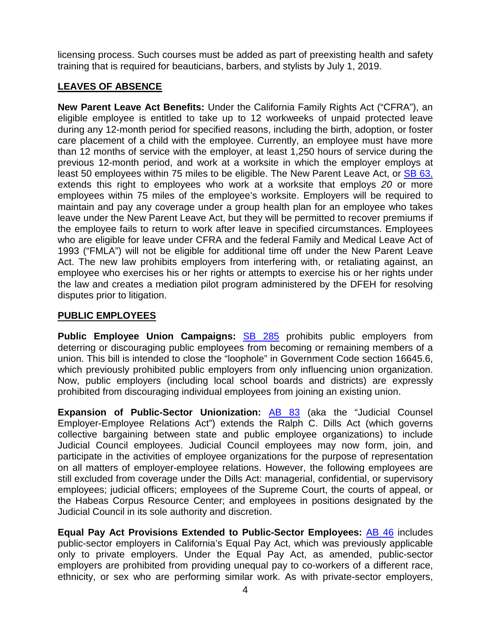licensing process. Such courses must be added as part of preexisting health and safety training that is required for beauticians, barbers, and stylists by July 1, 2019.

### **LEAVES OF ABSENCE**

**New Parent Leave Act Benefits:** Under the California Family Rights Act ("CFRA"), an eligible employee is entitled to take up to 12 workweeks of unpaid protected leave during any 12-month period for specified reasons, including the birth, adoption, or foster care placement of a child with the employee. Currently, an employee must have more than 12 months of service with the employer, at least 1,250 hours of service during the previous 12-month period, and work at a worksite in which the employer employs at least 50 employees within 75 miles to be eligible. The New Parent Leave Act, or [SB 63,](https://leginfo.legislature.ca.gov/faces/billNavClient.xhtml?bill_id=201720180SB63) extends this right to employees who work at a worksite that employs *20* or more employees within 75 miles of the employee's worksite. Employers will be required to maintain and pay any coverage under a group health plan for an employee who takes leave under the New Parent Leave Act, but they will be permitted to recover premiums if the employee fails to return to work after leave in specified circumstances. Employees who are eligible for leave under CFRA and the federal Family and Medical Leave Act of 1993 ("FMLA") will not be eligible for additional time off under the New Parent Leave Act. The new law prohibits employers from interfering with, or retaliating against, an employee who exercises his or her rights or attempts to exercise his or her rights under the law and creates a mediation pilot program administered by the DFEH for resolving disputes prior to litigation.

#### **PUBLIC EMPLOYEES**

**Public Employee Union Campaigns:** [SB 285](https://leginfo.legislature.ca.gov/faces/billNavClient.xhtml?bill_id=201720180SB285) prohibits public employers from deterring or discouraging public employees from becoming or remaining members of a union. This bill is intended to close the "loophole" in Government Code section 16645.6, which previously prohibited public employers from only influencing union organization. Now, public employers (including local school boards and districts) are expressly prohibited from discouraging individual employees from joining an existing union.

**Expansion of Public-Sector Unionization:** [AB 83](https://leginfo.legislature.ca.gov/faces/billNavClient.xhtml?bill_id=201720180AB83) (aka the "Judicial Counsel Employer-Employee Relations Act") extends the Ralph C. Dills Act (which governs collective bargaining between state and public employee organizations) to include Judicial Council employees. Judicial Council employees may now form, join, and participate in the activities of employee organizations for the purpose of representation on all matters of employer-employee relations. However, the following employees are still excluded from coverage under the Dills Act: managerial, confidential, or supervisory employees; judicial officers; employees of the Supreme Court, the courts of appeal, or the Habeas Corpus Resource Center; and employees in positions designated by the Judicial Council in its sole authority and discretion.

**Equal Pay Act Provisions Extended to Public-Sector Employees:** [AB 46](https://leginfo.legislature.ca.gov/faces/billTextClient.xhtml?bill_id=201720180AB46) includes public-sector employers in California's Equal Pay Act, which was previously applicable only to private employers. Under the Equal Pay Act, as amended, public-sector employers are prohibited from providing unequal pay to co-workers of a different race, ethnicity, or sex who are performing similar work. As with private-sector employers,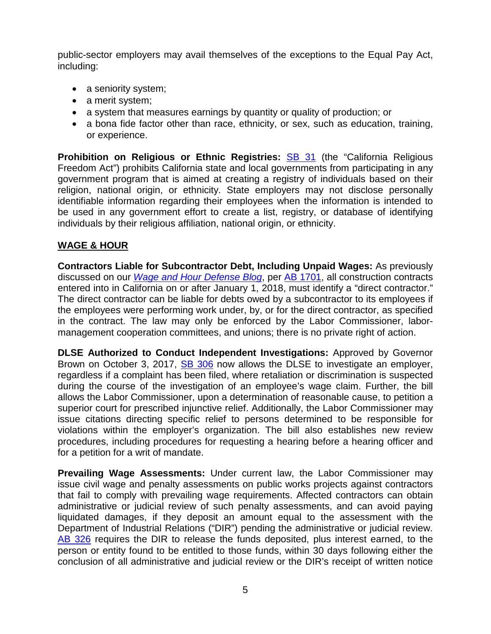public-sector employers may avail themselves of the exceptions to the Equal Pay Act, including:

- a seniority system;
- a merit system;
- a system that measures earnings by quantity or quality of production; or
- a bona fide factor other than race, ethnicity, or sex, such as education, training, or experience.

**Prohibition on Religious or Ethnic Registries: <b>[SB 31](https://leginfo.legislature.ca.gov/faces/billTextClient.xhtml?bill_id=201720180SB31)** (the "California Religious Freedom Act") prohibits California state and local governments from participating in any government program that is aimed at creating a registry of individuals based on their religion, national origin, or ethnicity. State employers may not disclose personally identifiable information regarding their employees when the information is intended to be used in any government effort to create a list, registry, or database of identifying individuals by their religious affiliation, national origin, or ethnicity.

#### **WAGE & HOUR**

**Contractors Liable for Subcontractor Debt, Including Unpaid Wages:** As previously discussed on our *[Wage and Hour Defense Blog](https://www.wagehourblog.com/2017/10/articles/california-wage-hour-law/california-passes-new-law-making-contractors-jointly-liable-for-their-subcontractors-failure-to-pay-wages/)*, per [AB 1701,](https://leginfo.legislature.ca.gov/faces/billNavClient.xhtml?bill_id=201720180AB1701) all construction contracts entered into in California on or after January 1, 2018, must identify a "direct contractor." The direct contractor can be liable for debts owed by a subcontractor to its employees if the employees were performing work under, by, or for the direct contractor, as specified in the contract. The law may only be enforced by the Labor Commissioner, labormanagement cooperation committees, and unions; there is no private right of action.

**DLSE Authorized to Conduct Independent Investigations:** Approved by Governor Brown on October 3, 2017, **[SB 306](http://leginfo.legislature.ca.gov/faces/billNavClient.xhtml?bill_id=201720180SB306)** now allows the DLSE to investigate an employer, regardless if a complaint has been filed, where retaliation or discrimination is suspected during the course of the investigation of an employee's wage claim. Further, the bill allows the Labor Commissioner, upon a determination of reasonable cause, to petition a superior court for prescribed injunctive relief. Additionally, the Labor Commissioner may issue citations directing specific relief to persons determined to be responsible for violations within the employer's organization. The bill also establishes new review procedures, including procedures for requesting a hearing before a hearing officer and for a petition for a writ of mandate.

**Prevailing Wage Assessments:** Under current law, the Labor Commissioner may issue civil wage and penalty assessments on public works projects against contractors that fail to comply with prevailing wage requirements. Affected contractors can obtain administrative or judicial review of such penalty assessments, and can avoid paying liquidated damages, if they deposit an amount equal to the assessment with the Department of Industrial Relations ("DIR") pending the administrative or judicial review. [AB 326](https://leginfo.legislature.ca.gov/faces/billTextClient.xhtml?bill_id=201520160AB326) requires the DIR to release the funds deposited, plus interest earned, to the person or entity found to be entitled to those funds, within 30 days following either the conclusion of all administrative and judicial review or the DIR's receipt of written notice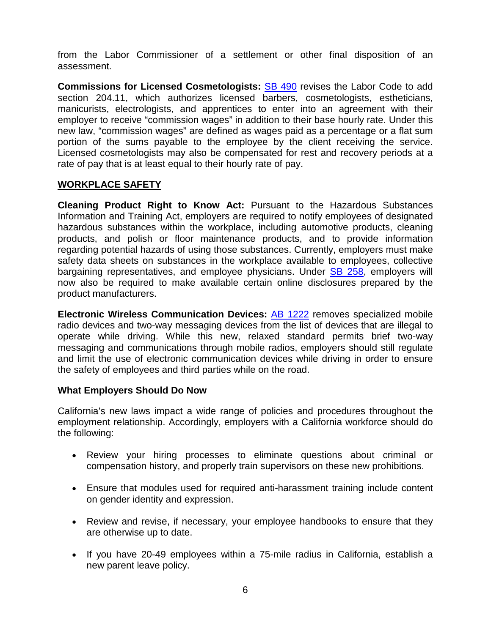from the Labor Commissioner of a settlement or other final disposition of an assessment.

**Commissions for Licensed Cosmetologists: [SB 490](https://leginfo.legislature.ca.gov/faces/billNavClient.xhtml?bill_id=201720180SB490)** revises the Labor Code to add section 204.11, which authorizes licensed barbers, cosmetologists, estheticians, manicurists, electrologists, and apprentices to enter into an agreement with their employer to receive "commission wages" in addition to their base hourly rate. Under this new law, "commission wages" are defined as wages paid as a percentage or a flat sum portion of the sums payable to the employee by the client receiving the service. Licensed cosmetologists may also be compensated for rest and recovery periods at a rate of pay that is at least equal to their hourly rate of pay.

#### **WORKPLACE SAFETY**

**Cleaning Product Right to Know Act:** Pursuant to the Hazardous Substances Information and Training Act, employers are required to notify employees of designated hazardous substances within the workplace, including automotive products, cleaning products, and polish or floor maintenance products, and to provide information regarding potential hazards of using those substances. Currently, employers must make safety data sheets on substances in the workplace available to employees, collective bargaining representatives, and employee physicians. Under [SB 258](http://leginfo.legislature.ca.gov/faces/billNavClient.xhtml?bill_id=201720180SB258), employers will now also be required to make available certain online disclosures prepared by the product manufacturers.

**Electronic Wireless Communication Devices:** [AB 1222](http://leginfo.legislature.ca.gov/faces/billNavClient.xhtml?bill_id=201720180AB1222) removes specialized mobile radio devices and two-way messaging devices from the list of devices that are illegal to operate while driving. While this new, relaxed standard permits brief two-way messaging and communications through mobile radios, employers should still regulate and limit the use of electronic communication devices while driving in order to ensure the safety of employees and third parties while on the road.

#### **What Employers Should Do Now**

California's new laws impact a wide range of policies and procedures throughout the employment relationship. Accordingly, employers with a California workforce should do the following:

- Review your hiring processes to eliminate questions about criminal or compensation history, and properly train supervisors on these new prohibitions.
- Ensure that modules used for required anti-harassment training include content on gender identity and expression.
- Review and revise, if necessary, your employee handbooks to ensure that they are otherwise up to date.
- If you have 20-49 employees within a 75-mile radius in California, establish a new parent leave policy.